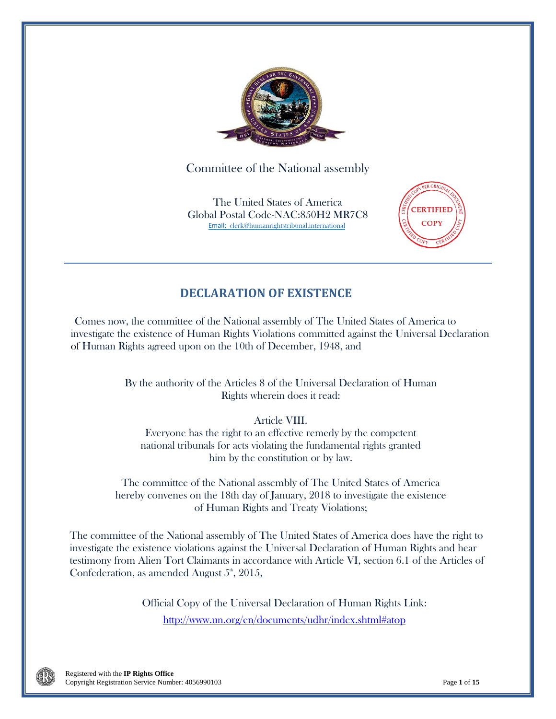

Committee of the National assembly

The United States of America Global Postal Code-NAC:850H2 MR7C8 Email: [clerk@humanrightstribunal.international](mailto:Email:%20%20clerk@humanrightstribunal.international)



# **DECLARATION OF EXISTENCE**

Comes now, the committee of the National assembly of The United States of America to investigate the existence of Human Rights Violations committed against the Universal Declaration of Human Rights agreed upon on the 10th of December, 1948, and

> By the authority of the Articles 8 of the Universal Declaration of Human Rights wherein does it read:

## Article VIII.

Everyone has the right to an effective remedy by the competent national tribunals for acts violating the fundamental rights granted him by the constitution or by law.

The committee of the National assembly of The United States of America hereby convenes on the 18th day of January, 2018 to investigate the existence of Human Rights and Treaty Violations;

The committee of the National assembly of The United States of America does have the right to investigate the existence violations against the Universal Declaration of Human Rights and hear testimony from Alien Tort Claimants in accordance with Article VI, section 6.1 of the Articles of Confederation, as amended August  $5^{\text{th}}$ , 2015,

> Official Copy of the Universal Declaration of Human Rights Link: http://www.un.org/en/documents/udhr/index.shtml#atop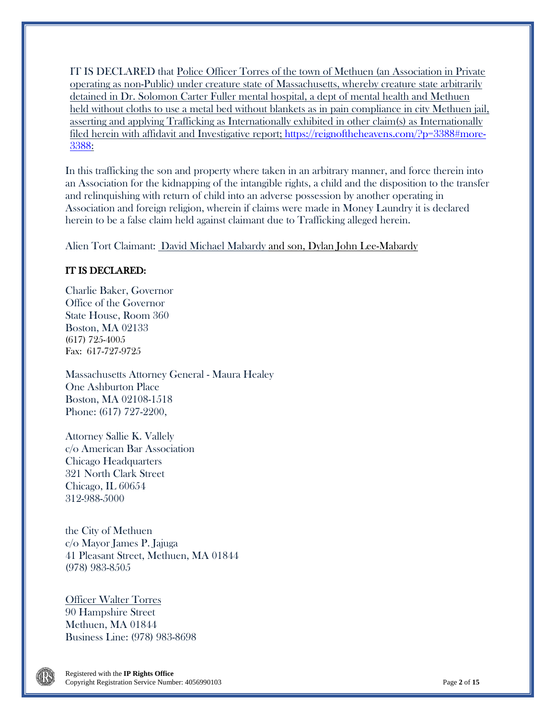IT IS DECLARED that Police Officer Torres of the town of Methuen (an Association in Private operating as non-Public) under creature state of Massachusetts, whereby creature state arbitrarily detained in Dr. Solomon Carter Fuller mental hospital, a dept of mental health and Methuen held without cloths to use a metal bed without blankets as in pain compliance in city Methuen jail, asserting and applying Trafficking as Internationally exhibited in other claim(s) as Internationally filed herein with affidavit and Investigative report; [https://reignoftheheavens.com/?p=3388#more-](https://reignoftheheavens.com/?p=3388#more-3388)[3388:](https://reignoftheheavens.com/?p=3388#more-3388)

In this trafficking the son and property where taken in an arbitrary manner, and force therein into an Association for the kidnapping of the intangible rights, a child and the disposition to the transfer and relinquishing with return of child into an adverse possession by another operating in Association and foreign religion, wherein if claims were made in Money Laundry it is declared herein to be a false claim held against claimant due to Trafficking alleged herein.

Alien Tort Claimant: David Michael Mabardy and son, Dylan John Lee-Mabardy

### IT IS DECLARED:

Charlie Baker, Governor Office of the Governor State House, Room 360 Boston, MA 02133 (617) 725-4005 Fax: 617-727-9725

Massachusetts Attorney General - Maura Healey One Ashburton Place Boston, MA 02108-1518 Phone: (617) 727-2200,

Attorney Sallie K. Vallely c/o American Bar Association Chicago Headquarters 321 North Clark Street Chicago, IL 60654 312-988-5000

the City of Methuen c/o Mayor James P. Jajuga 41 Pleasant Street, Methuen, MA 01844 (978) 983-8505

Officer Walter Torres 90 Hampshire Street Methuen, MA 01844 Business Line: (978) 983-8698

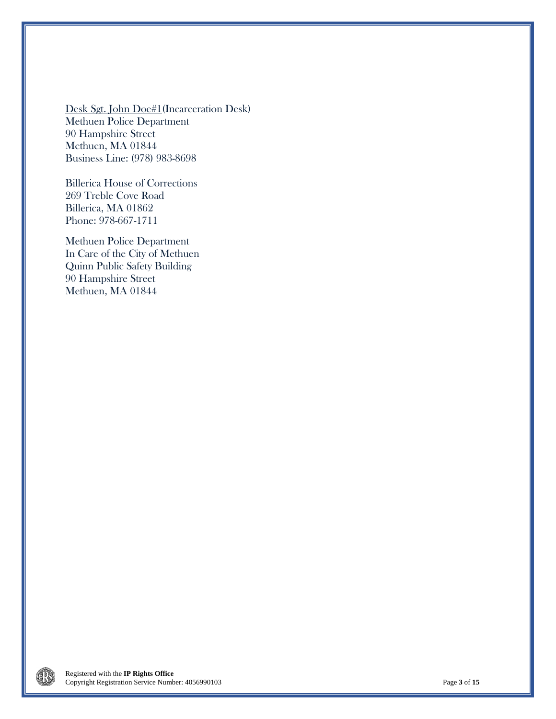Desk Sgt. John Doe#1(Incarceration Desk) Methuen Police Department 90 Hampshire Street Methuen, MA 01844 Business Line: (978) 983-8698

Billerica House of Corrections 269 Treble Cove Road Billerica, MA 01862 Phone: 978-667-1711

Methuen Police Department In Care of the City of Methuen Quinn Public Safety Building 90 Hampshire Street Methuen, MA 01844

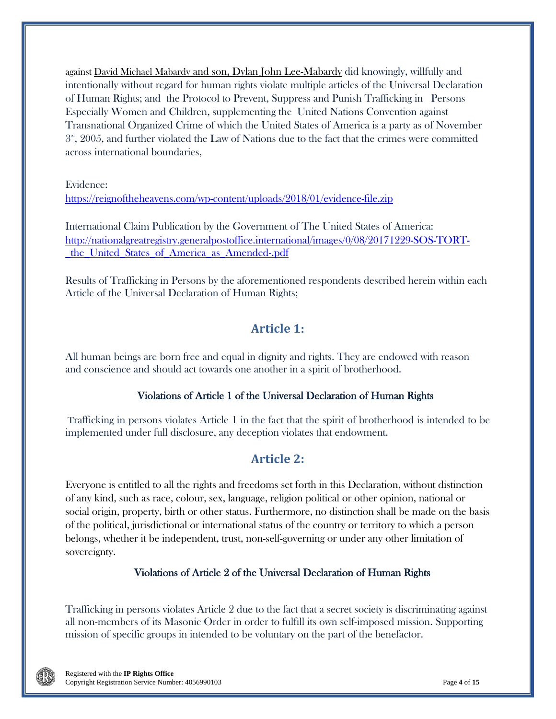against David Michael Mabardy and son, Dylan John Lee-Mabardy did knowingly, willfully and intentionally without regard for human rights violate multiple articles of the Universal Declaration of Human Rights; and the Protocol to Prevent, Suppress and Punish Trafficking in Persons Especially Women and Children, supplementing the United Nations Convention against Transnational Organized Crime of which the United States of America is a party as of November  $3<sup>nd</sup>$ , 2005, and further violated the Law of Nations due to the fact that the crimes were committed across international boundaries,

Evidence:

<https://reignoftheheavens.com/wp-content/uploads/2018/01/evidence-file.zip>

International Claim Publication by the Government of The United States of America: [http://nationalgreatregistry.generalpostoffice.international/images/0/08/20171229-SOS-TORT-](http://nationalgreatregistry.generalpostoffice.international/images/0/08/20171229-SOS-TORT-_the_United_States_of_America_as_Amended-.pdf) [\\_the\\_United\\_States\\_of\\_America\\_as\\_Amended-.pdf](http://nationalgreatregistry.generalpostoffice.international/images/0/08/20171229-SOS-TORT-_the_United_States_of_America_as_Amended-.pdf)

Results of Trafficking in Persons by the aforementioned respondents described herein within each Article of the Universal Declaration of Human Rights;

# **Article 1:**

All human beings are born free and equal in dignity and rights. They are endowed with reason and conscience and should act towards one another in a spirit of brotherhood.

### Violations of Article 1 of the Universal Declaration of Human Rights

Trafficking in persons violates Article 1 in the fact that the spirit of brotherhood is intended to be implemented under full disclosure, any deception violates that endowment.

## **Article 2:**

Everyone is entitled to all the rights and freedoms set forth in this Declaration, without distinction of any kind, such as race, colour, sex, language, religion political or other opinion, national or social origin, property, birth or other status. Furthermore, no distinction shall be made on the basis of the political, jurisdictional or international status of the country or territory to which a person belongs, whether it be independent, trust, non-self-governing or under any other limitation of sovereignty.

### Violations of Article 2 of the Universal Declaration of Human Rights

Trafficking in persons violates Article 2 due to the fact that a secret society is discriminating against all non-members of its Masonic Order in order to fulfill its own self-imposed mission. Supporting mission of specific groups in intended to be voluntary on the part of the benefactor.

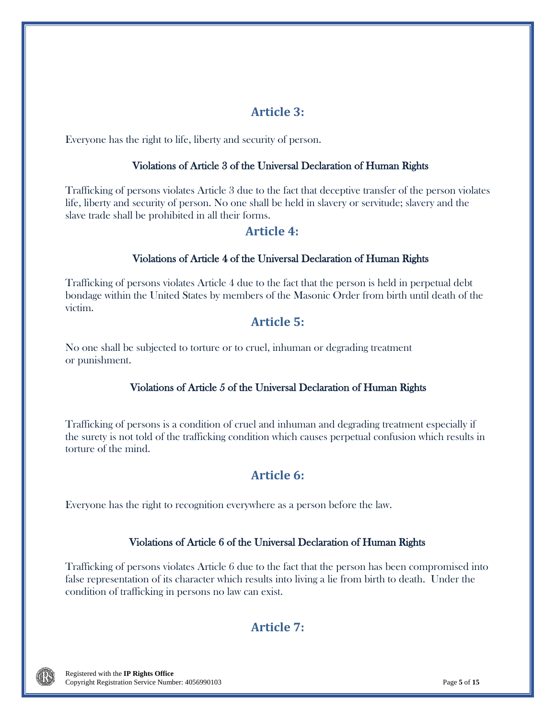# **Article 3:**

Everyone has the right to life, liberty and security of person.

### Violations of Article 3 of the Universal Declaration of Human Rights

Trafficking of persons violates Article 3 due to the fact that deceptive transfer of the person violates life, liberty and security of person. No one shall be held in slavery or servitude; slavery and the slave trade shall be prohibited in all their forms.

## **Article 4:**

## Violations of Article 4 of the Universal Declaration of Human Rights

Trafficking of persons violates Article 4 due to the fact that the person is held in perpetual debt bondage within the United States by members of the Masonic Order from birth until death of the victim.

## **Article 5:**

No one shall be subjected to torture or to cruel, inhuman or degrading treatment or punishment.

## Violations of Article 5 of the Universal Declaration of Human Rights

Trafficking of persons is a condition of cruel and inhuman and degrading treatment especially if the surety is not told of the trafficking condition which causes perpetual confusion which results in torture of the mind.

# **Article 6:**

Everyone has the right to recognition everywhere as a person before the law.

### Violations of Article 6 of the Universal Declaration of Human Rights

Trafficking of persons violates Article 6 due to the fact that the person has been compromised into false representation of its character which results into living a lie from birth to death. Under the condition of trafficking in persons no law can exist.

# **Article 7:**

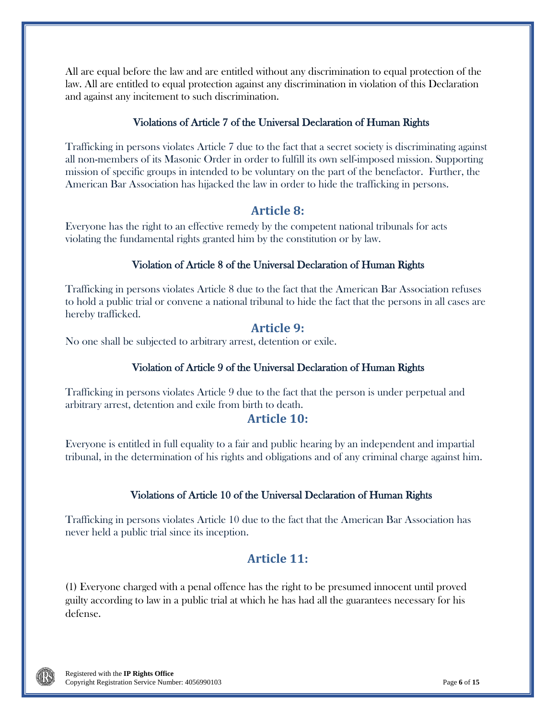All are equal before the law and are entitled without any discrimination to equal protection of the law. All are entitled to equal protection against any discrimination in violation of this Declaration and against any incitement to such discrimination.

### Violations of Article 7 of the Universal Declaration of Human Rights

Trafficking in persons violates Article 7 due to the fact that a secret society is discriminating against all non-members of its Masonic Order in order to fulfill its own self-imposed mission. Supporting mission of specific groups in intended to be voluntary on the part of the benefactor. Further, the American Bar Association has hijacked the law in order to hide the trafficking in persons.

## **Article 8:**

Everyone has the right to an effective remedy by the competent national tribunals for acts violating the fundamental rights granted him by the constitution or by law.

### Violation of Article 8 of the Universal Declaration of Human Rights

Trafficking in persons violates Article 8 due to the fact that the American Bar Association refuses to hold a public trial or convene a national tribunal to hide the fact that the persons in all cases are hereby trafficked.

### **Article 9:**

No one shall be subjected to arbitrary arrest, detention or exile.

### Violation of Article 9 of the Universal Declaration of Human Rights

Trafficking in persons violates Article 9 due to the fact that the person is under perpetual and arbitrary arrest, detention and exile from birth to death.

## **Article 10:**

Everyone is entitled in full equality to a fair and public hearing by an independent and impartial tribunal, in the determination of his rights and obligations and of any criminal charge against him.

### Violations of Article 10 of the Universal Declaration of Human Rights

Trafficking in persons violates Article 10 due to the fact that the American Bar Association has never held a public trial since its inception.

## **Article 11:**

(1) Everyone charged with a penal offence has the right to be presumed innocent until proved guilty according to law in a public trial at which he has had all the guarantees necessary for his defense.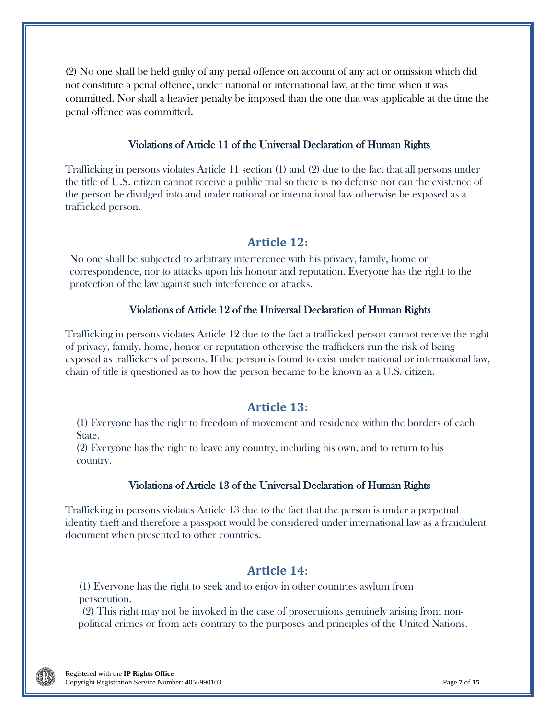(2) No one shall be held guilty of any penal offence on account of any act or omission which did not constitute a penal offence, under national or international law, at the time when it was committed. Nor shall a heavier penalty be imposed than the one that was applicable at the time the penal offence was committed.

### Violations of Article 11 of the Universal Declaration of Human Rights

Trafficking in persons violates Article 11 section (1) and (2) due to the fact that all persons under the title of U.S. citizen cannot receive a public trial so there is no defense nor can the existence of the person be divulged into and under national or international law otherwise be exposed as a trafficked person.

## **Article 12:**

No one shall be subjected to arbitrary interference with his privacy, family, home or correspondence, nor to attacks upon his honour and reputation. Everyone has the right to the protection of the law against such interference or attacks.

### Violations of Article 12 of the Universal Declaration of Human Rights

Trafficking in persons violates Article 12 due to the fact a trafficked person cannot receive the right of privacy, family, home, honor or reputation otherwise the traffickers run the risk of being exposed as traffickers of persons. If the person is found to exist under national or international law, chain of title is questioned as to how the person became to be known as a U.S. citizen.

## **Article 13:**

(1) Everyone has the right to freedom of movement and residence within the borders of each State.

(2) Everyone has the right to leave any country, including his own, and to return to his country.

### Violations of Article 13 of the Universal Declaration of Human Rights

Trafficking in persons violates Article 13 due to the fact that the person is under a perpetual identity theft and therefore a passport would be considered under international law as a fraudulent document when presented to other countries.

## **Article 14:**

(1) Everyone has the right to seek and to enjoy in other countries asylum from persecution.

(2) This right may not be invoked in the case of prosecutions genuinely arising from nonpolitical crimes or from acts contrary to the purposes and principles of the United Nations.

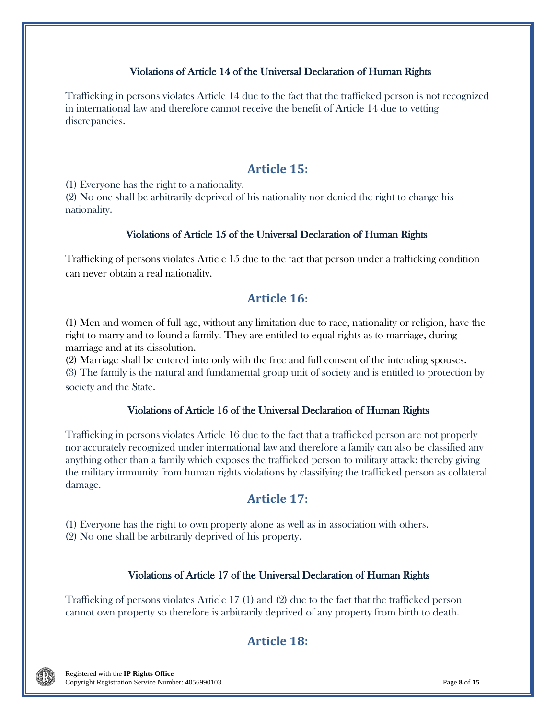### Violations of Article 14 of the Universal Declaration of Human Rights

Trafficking in persons violates Article 14 due to the fact that the trafficked person is not recognized in international law and therefore cannot receive the benefit of Article 14 due to vetting discrepancies.

## **Article 15:**

(1) Everyone has the right to a nationality.

(2) No one shall be arbitrarily deprived of his nationality nor denied the right to change his nationality.

### Violations of Article 15 of the Universal Declaration of Human Rights

Trafficking of persons violates Article 15 due to the fact that person under a trafficking condition can never obtain a real nationality.

## **Article 16:**

(1) Men and women of full age, without any limitation due to race, nationality or religion, have the right to marry and to found a family. They are entitled to equal rights as to marriage, during marriage and at its dissolution.

(2) Marriage shall be entered into only with the free and full consent of the intending spouses. (3) The family is the natural and fundamental group unit of society and is entitled to protection by society and the State.

## Violations of Article 16 of the Universal Declaration of Human Rights

Trafficking in persons violates Article 16 due to the fact that a trafficked person are not properly nor accurately recognized under international law and therefore a family can also be classified any anything other than a family which exposes the trafficked person to military attack; thereby giving the military immunity from human rights violations by classifying the trafficked person as collateral damage.

## **Article 17:**

(1) Everyone has the right to own property alone as well as in association with others. (2) No one shall be arbitrarily deprived of his property.

## Violations of Article 17 of the Universal Declaration of Human Rights

Trafficking of persons violates Article 17 (1) and (2) due to the fact that the trafficked person cannot own property so therefore is arbitrarily deprived of any property from birth to death.

# **Article 18:**

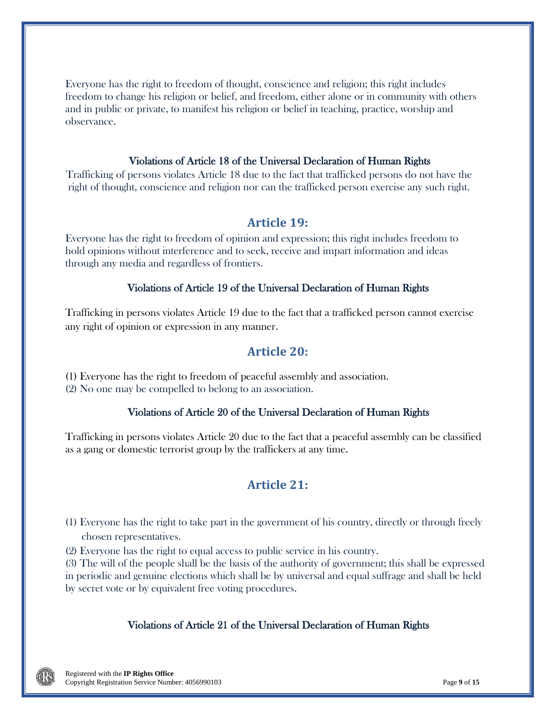Everyone has the right to freedom of thought, conscience and religion; this right includes freedom to change his religion or belief, and freedom, either alone or in community with others and in public or private, to manifest his religion or belief in teaching, practice, worship and observance.

### Violations of Article 18 of the Universal Declaration of Human Rights

Trafficking of persons violates Article 18 due to the fact that trafficked persons do not have the right of thought, conscience and religion nor can the trafficked person exercise any such right.

### **Article 19:**

Everyone has the right to freedom of opinion and expression; this right includes freedom to hold opinions without interference and to seek, receive and impart information and ideas through any media and regardless of frontiers.

#### Violations of Article 19 of the Universal Declaration of Human Rights

Trafficking in persons violates Article 19 due to the fact that a trafficked person cannot exercise any right of opinion or expression in any manner.

### **Article 20:**

(1) Everyone has the right to freedom of peaceful assembly and association. (2) No one may be compelled to belong to an association.

#### Violations of Article 20 of the Universal Declaration of Human Rights

Trafficking in persons violates Article 20 due to the fact that a peaceful assembly can be classified as a gang or domestic terrorist group by the traffickers at any time.

## **Article 21:**

- (1) Everyone has the right to take part in the government of his country, directly or through freely chosen representatives.
- (2) Everyone has the right to equal access to public service in his country.

(3) The will of the people shall be the basis of the authority of government; this shall be expressed in periodic and genuine elections which shall be by universal and equal suffrage and shall be held by secret vote or by equivalent free voting procedures.

#### Violations of Article 21 of the Universal Declaration of Human Rights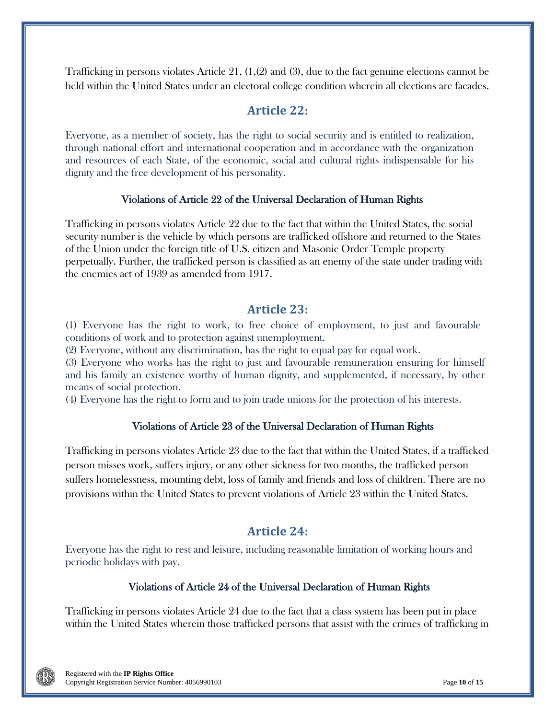Trafficking in persons violates Article 21, (1,(2) and (3), due to the fact genuine elections cannot be held within the United States under an electoral college condition wherein all elections are facades.

## **Article 22:**

Everyone, as a member of society, has the right to social security and is entitled to realization, through national effort and international cooperation and in accordance with the organization and resources of each State, of the economic, social and cultural rights indispensable for his dignity and the free development of his personality.

### Violations of Article 22 of the Universal Declaration of Human Rights

Trafficking in persons violates Article 22 due to the fact that within the United States, the social security number is the vehicle by which persons are trafficked offshore and returned to the States of the Union under the foreign title of U.S. citizen and Masonic Order Temple property perpetually. Further, the trafficked person is classified as an enemy of the state under trading with the enemies act of 1939 as amended from 1917.

### **Article 23:**

(1) Everyone has the right to work, to free choice of employment, to just and favourable conditions of work and to protection against unemployment.

(2) Everyone, without any discrimination, has the right to equal pay for equal work.

(3) Everyone who works has the right to just and favourable remuneration ensuring for himself and his family an existence worthy of human dignity, and supplemented, if necessary, by other means of social protection.

(4) Everyone has the right to form and to join trade unions for the protection of his interests.

### Violations of Article 23 of the Universal Declaration of Human Rights

Trafficking in persons violates Article 23 due to the fact that within the United States, if a trafficked person misses work, suffers injury, or any other sickness for two months, the trafficked person suffers homelessness, mounting debt, loss of family and friends and loss of children. There are no provisions within the United States to prevent violations of Article 23 within the United States.

## **Article 24:**

Everyone has the right to rest and leisure, including reasonable limitation of working hours and periodic holidays with pay.

### Violations of Article 24 of the Universal Declaration of Human Rights

Trafficking in persons violates Article 24 due to the fact that a class system has been put in place within the United States wherein those trafficked persons that assist with the crimes of trafficking in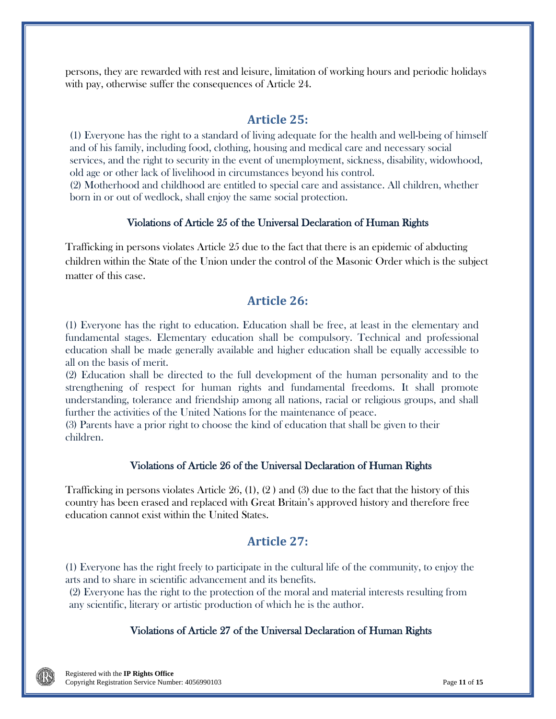persons, they are rewarded with rest and leisure, limitation of working hours and periodic holidays with pay, otherwise suffer the consequences of Article 24.

## **Article 25:**

(1) Everyone has the right to a standard of living adequate for the health and well-being of himself and of his family, including food, clothing, housing and medical care and necessary social services, and the right to security in the event of unemployment, sickness, disability, widowhood, old age or other lack of livelihood in circumstances beyond his control.

(2) Motherhood and childhood are entitled to special care and assistance. All children, whether born in or out of wedlock, shall enjoy the same social protection.

### Violations of Article 25 of the Universal Declaration of Human Rights

Trafficking in persons violates Article 25 due to the fact that there is an epidemic of abducting children within the State of the Union under the control of the Masonic Order which is the subject matter of this case.

## **Article 26:**

(1) Everyone has the right to education. Education shall be free, at least in the elementary and fundamental stages. Elementary education shall be compulsory. Technical and professional education shall be made generally available and higher education shall be equally accessible to all on the basis of merit.

(2) Education shall be directed to the full development of the human personality and to the strengthening of respect for human rights and fundamental freedoms. It shall promote understanding, tolerance and friendship among all nations, racial or religious groups, and shall further the activities of the United Nations for the maintenance of peace.

(3) Parents have a prior right to choose the kind of education that shall be given to their children.

### Violations of Article 26 of the Universal Declaration of Human Rights

Trafficking in persons violates Article 26, (1), (2 ) and (3) due to the fact that the history of this country has been erased and replaced with Great Britain's approved history and therefore free education cannot exist within the United States.

## **Article 27:**

(1) Everyone has the right freely to participate in the cultural life of the community, to enjoy the arts and to share in scientific advancement and its benefits.

(2) Everyone has the right to the protection of the moral and material interests resulting from any scientific, literary or artistic production of which he is the author.

### Violations of Article 27 of the Universal Declaration of Human Rights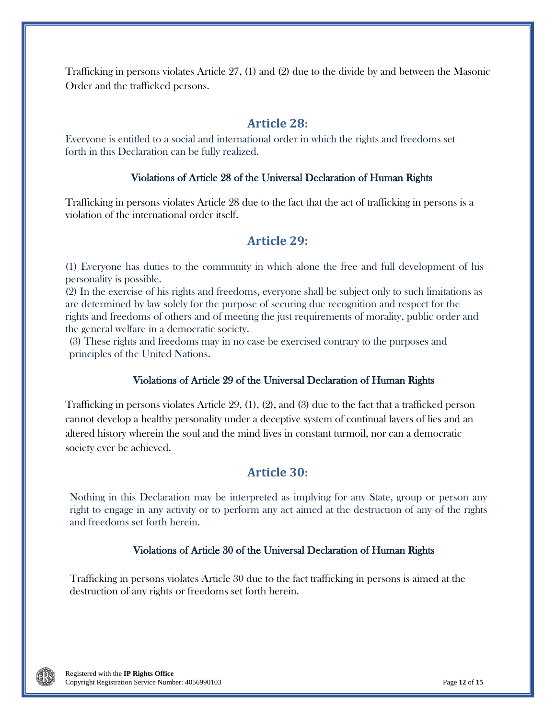Trafficking in persons violates Article 27, (1) and (2) due to the divide by and between the Masonic Order and the trafficked persons.

## **Article 28:**

Everyone is entitled to a social and international order in which the rights and freedoms set forth in this Declaration can be fully realized.

### Violations of Article 28 of the Universal Declaration of Human Rights

Trafficking in persons violates Article 28 due to the fact that the act of trafficking in persons is a violation of the international order itself.

## **Article 29:**

(1) Everyone has duties to the community in which alone the free and full development of his personality is possible.

(2) In the exercise of his rights and freedoms, everyone shall be subject only to such limitations as are determined by law solely for the purpose of securing due recognition and respect for the rights and freedoms of others and of meeting the just requirements of morality, public order and the general welfare in a democratic society.

(3) These rights and freedoms may in no case be exercised contrary to the purposes and principles of the United Nations.

### Violations of Article 29 of the Universal Declaration of Human Rights

Trafficking in persons violates Article 29, (1), (2), and (3) due to the fact that a trafficked person cannot develop a healthy personality under a deceptive system of continual layers of lies and an altered history wherein the soul and the mind lives in constant turmoil, nor can a democratic society ever be achieved.

## **Article 30:**

Nothing in this Declaration may be interpreted as implying for any State, group or person any right to engage in any activity or to perform any act aimed at the destruction of any of the rights and freedoms set forth herein.

### Violations of Article 30 of the Universal Declaration of Human Rights

Trafficking in persons violates Article 30 due to the fact trafficking in persons is aimed at the destruction of any rights or freedoms set forth herein.

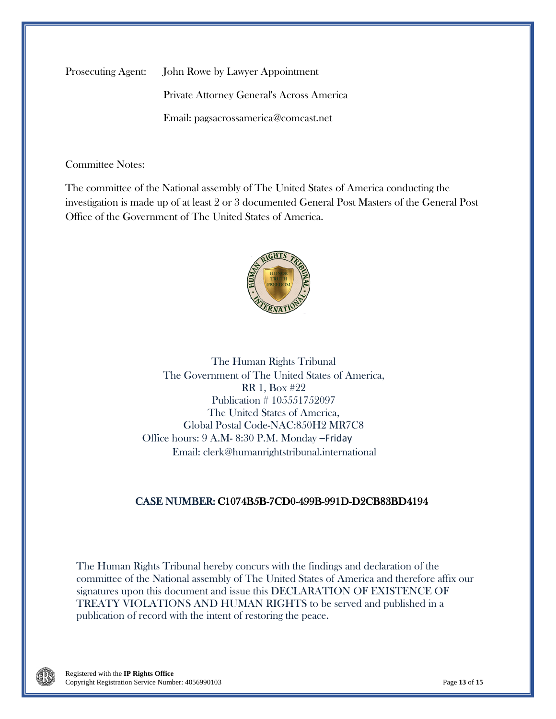Prosecuting Agent: John Rowe by Lawyer Appointment

Private Attorney General's Across America Email: pagsacrossamerica@comcast.net

Committee Notes:

The committee of the National assembly of The United States of America conducting the investigation is made up of at least 2 or 3 documented General Post Masters of the General Post Office of the Government of The United States of America.



The Human Rights Tribunal The Government of The United States of America, RR 1, Box #22 Publication # 105551752097 The United States of America, Global Postal Code-NAC:850H2 MR7C8 Office hours: 9 A.M- 8:30 P.M. Monday –Friday Email: clerk@humanrightstribunal.international

### CASE NUMBER: C1074B5B-7CD0-499B-991D-D2CB83BD4194

The Human Rights Tribunal hereby concurs with the findings and declaration of the committee of the National assembly of The United States of America and therefore affix our signatures upon this document and issue this DECLARATION OF EXISTENCE OF TREATY VIOLATIONS AND HUMAN RIGHTS to be served and published in a publication of record with the intent of restoring the peace.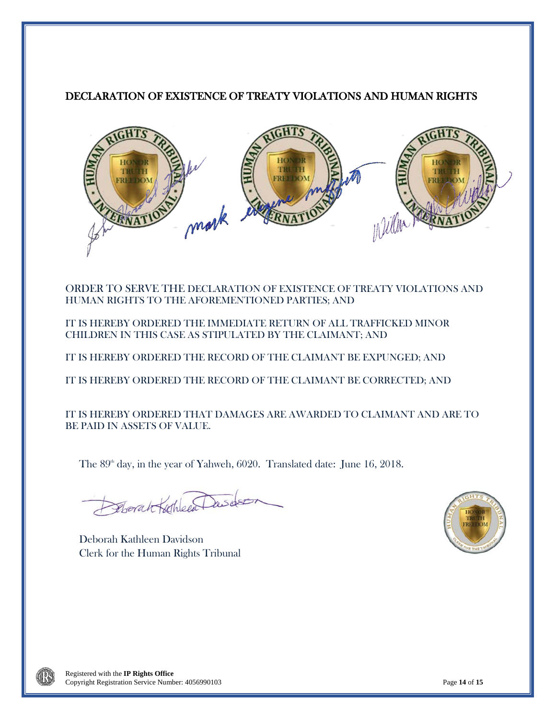## DECLARATION OF EXISTENCE OF TREATY VIOLATIONS AND HUMAN RIGHTS



ORDER TO SERVE THE DECLARATION OF EXISTENCE OF TREATY VIOLATIONS AND HUMAN RIGHTS TO THE AFOREMENTIONED PARTIES; AND

IT IS HEREBY ORDERED THE IMMEDIATE RETURN OF ALL TRAFFICKED MINOR CHILDREN IN THIS CASE AS STIPULATED BY THE CLAIMANT; AND

IT IS HEREBY ORDERED THE RECORD OF THE CLAIMANT BE EXPUNGED; AND

IT IS HEREBY ORDERED THE RECORD OF THE CLAIMANT BE CORRECTED; AND

IT IS HEREBY ORDERED THAT DAMAGES ARE AWARDED TO CLAIMANT AND ARE TO BE PAID IN ASSETS OF VALUE.

The  $89<sup>th</sup>$  day, in the year of Yahweh, 6020. Translated date: June 16, 2018.

Deborah Kathleen

Deborah Kathleen Davidson Clerk for the Human Rights Tribunal